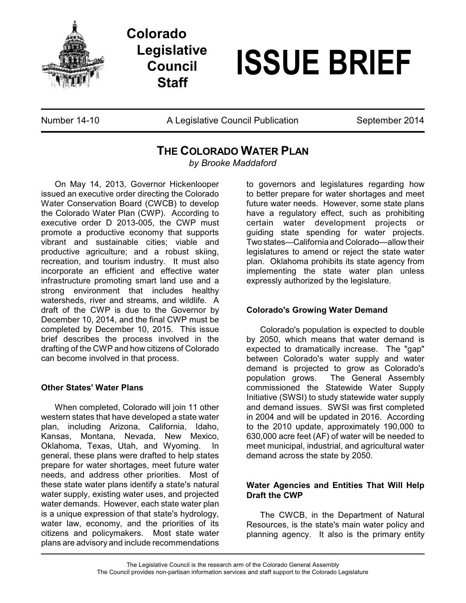

**Colorado Legislative Council Staff**

# **ISSUE BRIEF**

Number 14-10 **A Legislative Council Publication** September 2014

## **THE COLORADO WATER PLAN**

*by Brooke Maddaford*

On May 14, 2013, Governor Hickenlooper issued an executive order directing the Colorado Water Conservation Board (CWCB) to develop the Colorado Water Plan (CWP). According to executive order D 2013-005, the CWP must promote a productive economy that supports vibrant and sustainable cities; viable and productive agriculture; and a robust skiing, recreation, and tourism industry. It must also incorporate an efficient and effective water infrastructure promoting smart land use and a strong environment that includes healthy watersheds, river and streams, and wildlife. A draft of the CWP is due to the Governor by December 10, 2014, and the final CWP must be completed by December 10, 2015. This issue brief describes the process involved in the drafting of the CWP and how citizens of Colorado can become involved in that process.

### **Other States' Water Plans**

When completed, Colorado will join 11 other western states that have developed a state water plan, including Arizona, California. Idaho. Kansas, Montana, Nevada, New Mexico, Oklahoma, Texas, Utah, and Wyoming. In general, these plans were drafted to help states prepare for water shortages, meet future water needs, and address other priorities. Most of these state water plans identify a state's natural water supply, existing water uses, and projected water demands. However, each state water plan is a unique expression of that state's hydrology, water law, economy, and the priorities of its citizens and policymakers. Most state water plans are advisory and include recommendations

to governors and legislatures regarding how to better prepare for water shortages and meet future water needs. However, some state plans have a regulatory effect, such as prohibiting certain water development projects or guiding state spending for water projects. Two states—California and Colorado—allow their legislatures to amend or reject the state water plan. Oklahoma prohibits its state agency from implementing the state water plan unless expressly authorized by the legislature.

### **Colorado's Growing Water Demand**

Colorado's population is expected to double by 2050, which means that water demand is expected to dramatically increase. The "gap" between Colorado's water supply and water demand is projected to grow as Colorado's population grows. The General Assembly commissioned the Statewide Water Supply Initiative (SWSI) to study statewide water supply and demand issues. SWSI was first completed in 2004 and will be updated in 2016. According to the 2010 update, approximately 190,000 to 630,000 acre feet (AF) of water will be needed to meet municipal, industrial, and agricultural water demand across the state by 2050.

### **Water Agencies and Entities That Will Help Draft the CWP**

The CWCB, in the Department of Natural Resources, is the state's main water policy and planning agency. It also is the primary entity